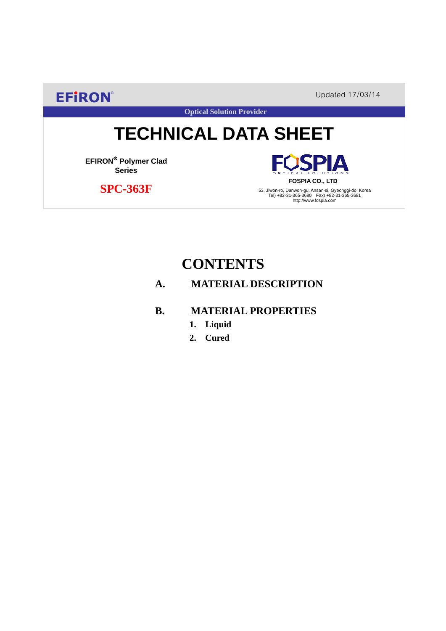**EFIRON®** Updated 17/03/14

**Optical Solution Provider**

# **TECHNICAL DATA SHEET**

**EFIRON**® **Polymer Clad Series**

 **SPC-363F**

SPIA **FOSPIA CO., LTD**

53, Jiwon-ro, Danwon-gu, Ansan-si, Gyeonggi-do, Korea Tel) +82-31-365-3680 Fax) +82-31-365-3681 http://www.fospia.com

## **CONTENTS**

### **A. MATERIAL DESCRIPTION**

#### **B. MATERIAL PROPERTIES**

- **1. Liquid**
- **2. Cured**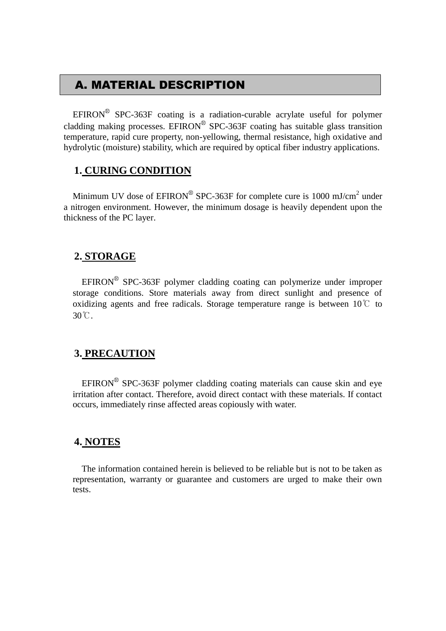## A. MATERIAL DESCRIPTION

EFIRON<sup>®</sup> SPC-363F coating is a radiation-curable acrylate useful for polymer cladding making processes. EFIRON<sup>®</sup> SPC-363F coating has suitable glass transition temperature, rapid cure property, non-yellowing, thermal resistance, high oxidative and hydrolytic (moisture) stability, which are required by optical fiber industry applications.

#### **1. CURING CONDITION**

Minimum UV dose of  $EPIRON^{\circledR}$  SPC-363F for complete cure is 1000 mJ/cm<sup>2</sup> under a nitrogen environment. However, the minimum dosage is heavily dependent upon the thickness of the PC layer.

#### **2. STORAGE**

 $EFINON^{\circledR}$  SPC-363F polymer cladding coating can polymerize under improper storage conditions. Store materials away from direct sunlight and presence of oxidizing agents and free radicals. Storage temperature range is between  $10^{\circ}$  to 30℃.

#### **3. PRECAUTION**

 $EFINON^{\circledR}$  SPC-363F polymer cladding coating materials can cause skin and eye irritation after contact. Therefore, avoid direct contact with these materials. If contact occurs, immediately rinse affected areas copiously with water.

#### **4. NOTES**

The information contained herein is believed to be reliable but is not to be taken as representation, warranty or guarantee and customers are urged to make their own tests.